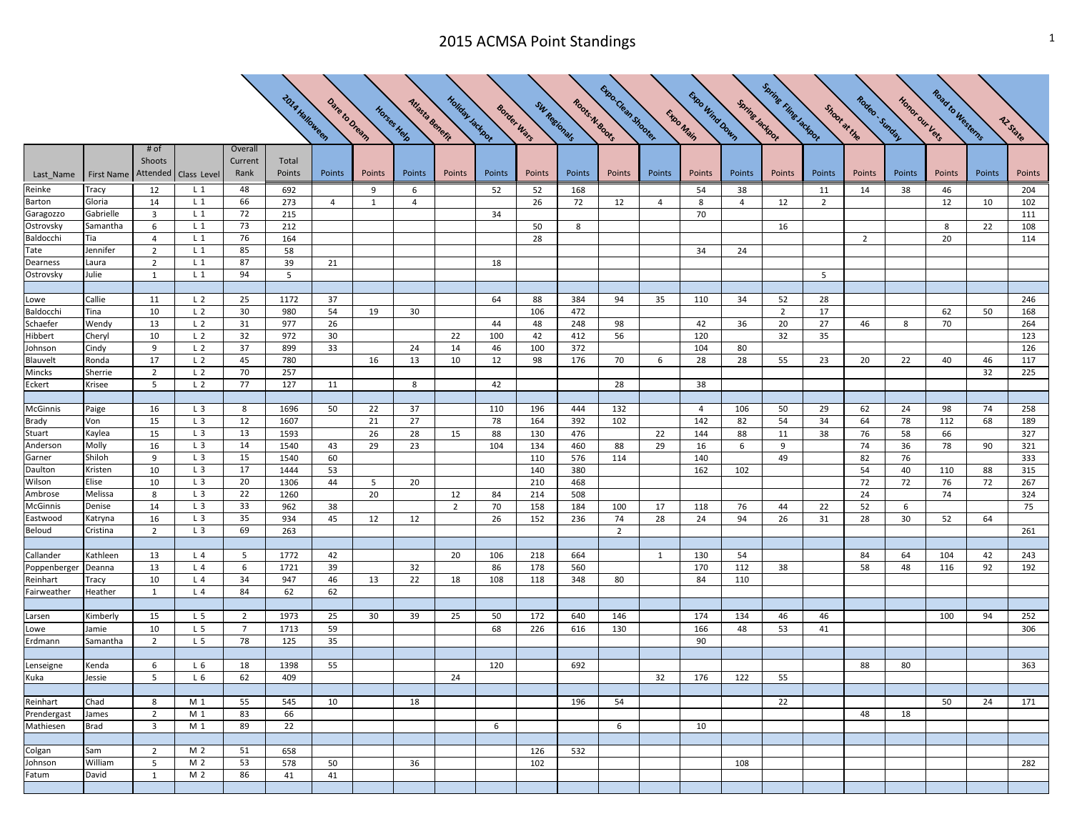## 2015 ACMSA Point Standings 1 and 1 and 2015 ACMSA Point Standings 1 and 2015 ACMSA Point 3 and 2016 1 and 2017

|                           |                                     |                         |                                  |                 |                       |                |             |                 |                  |             |              |               | Expo Clean Shoples |                | Expo Wind Down |                | <b>Spring Fling Tackbox</b> |                |                |                | Road to Westerns |          |            |
|---------------------------|-------------------------------------|-------------------------|----------------------------------|-----------------|-----------------------|----------------|-------------|-----------------|------------------|-------------|--------------|---------------|--------------------|----------------|----------------|----------------|-----------------------------|----------------|----------------|----------------|------------------|----------|------------|
|                           |                                     |                         |                                  |                 |                       |                |             |                 |                  |             |              |               |                    |                |                |                |                             |                |                |                |                  |          |            |
|                           |                                     |                         |                                  |                 | <b>2014 Halloween</b> | Dare to Dream  | Horses Help | Atlasta Benefit | Holiday Jackport | Border Wars | SW Regionals | Roots N.800ts |                    |                | Expo Main      | Spring Jackbor |                             | Shoot at the   | Rodeo: Sunday  | Honor our Vers |                  |          | Az State   |
|                           |                                     |                         |                                  |                 |                       |                |             |                 |                  |             |              |               |                    |                |                |                |                             |                |                |                |                  |          |            |
|                           |                                     | # of                    |                                  | Overall         |                       |                |             |                 |                  |             |              |               |                    |                |                |                |                             |                |                |                |                  |          |            |
|                           |                                     | Shoots                  |                                  | Current         | Total                 |                |             |                 |                  |             |              |               |                    |                |                |                |                             |                |                |                |                  |          |            |
| Last_Name                 | First Name   Attended   Class Level |                         |                                  | Rank            | Points                | Points         | Points      | Points          | Points           | Points      | Points       | Points        | Points             | Points         | Points         | Points         | Points                      | Points         | Points         | Points         | Points           | Points   | Points     |
| Reinke                    | <b>Tracy</b>                        | 12                      | $L_1$                            | 48              | 692                   |                | 9           | 6               |                  | 52          | 52           | 168           |                    |                | 54             | 38             |                             | 11             | 14             | 38             | 46               |          | 204        |
| Barton                    | Gloria                              | 14                      | $L_1$                            | 66              | 273                   | $\overline{4}$ | 1           | $\overline{4}$  |                  |             | 26           | 72            | 12                 | $\overline{4}$ | 8              | $\overline{4}$ | 12                          | $\overline{2}$ |                |                | 12               | 10       | 102        |
| Garagozzo<br>Ostrovsky    | Gabrielle<br>Samantha               | $\overline{3}$<br>6     | $L_1$<br>$L_1$                   | 72<br>73        | 215<br>212            |                |             |                 |                  | 34          | 50           | 8             |                    |                | 70             |                | 16                          |                |                |                | 8                | 22       | 111<br>108 |
| Baldocchi                 | Tia                                 | $\overline{4}$          | $L_1$                            | 76              | 164                   |                |             |                 |                  |             | 28           |               |                    |                |                |                |                             |                | $\overline{2}$ |                | 20               |          | 114        |
| Tate                      | Jennifer                            | $\overline{2}$          | $L_1$                            | 85              | 58                    |                |             |                 |                  |             |              |               |                    |                | 34             | 24             |                             |                |                |                |                  |          |            |
| Dearness                  | Laura                               | $\overline{2}$          | $L_1$                            | 87              | 39                    | 21             |             |                 |                  | 18          |              |               |                    |                |                |                |                             |                |                |                |                  |          |            |
| Ostrovsky                 | Julie                               | $\mathbf{1}$            | $L_1$                            | 94              | 5                     |                |             |                 |                  |             |              |               |                    |                |                |                |                             | 5              |                |                |                  |          |            |
|                           |                                     |                         |                                  |                 |                       |                |             |                 |                  |             |              |               |                    |                |                |                |                             |                |                |                |                  |          |            |
| Lowe                      | Callie                              | 11                      | L <sub>2</sub>                   | 25              | 1172                  | 37             |             |                 |                  | 64          | 88           | 384           | 94                 | 35             | 110            | 34             | 52                          | 28             |                |                |                  |          | 246        |
| Baldocchi                 | Tina                                | 10                      | L <sub>2</sub>                   | 30              | 980                   | 54             | 19          | 30              |                  |             | 106          | 472           |                    |                |                |                | $\overline{2}$              | 17             |                |                | 62               | 50       | 168        |
| Schaefer                  | Wendy                               | 13                      | L <sub>2</sub>                   | 31              | 977                   | 26             |             |                 |                  | 44          | 48           | 248           | 98                 |                | 42             | 36             | 20                          | 27             | 46             | 8              | 70               |          | 264        |
| <b>Hibbert</b><br>Johnson | Cheryl<br>Cindy                     | 10<br>9                 | L <sub>2</sub><br>L <sub>2</sub> | 32<br>37        | 972<br>899            | 30<br>33       |             | 24              | 22<br>14         | 100<br>46   | 42<br>100    | 412<br>372    | 56                 |                | 120<br>104     | 80             | 32                          | 35             |                |                |                  |          | 123<br>126 |
| Blauvelt                  | Ronda                               | 17                      | L <sub>2</sub>                   | 45              | 780                   |                | 16          | 13              | 10               | 12          | 98           | 176           | 70                 | 6              | 28             | 28             | 55                          | 23             | 20             | 22             | 40               | 46       | 117        |
| Mincks                    | Sherrie                             | $\overline{2}$          | L <sub>2</sub>                   | 70              | 257                   |                |             |                 |                  |             |              |               |                    |                |                |                |                             |                |                |                |                  | 32       | 225        |
| Eckert                    | Krisee                              | 5                       | L <sub>2</sub>                   | 77              | 127                   | 11             |             | 8               |                  | 42          |              |               | 28                 |                | 38             |                |                             |                |                |                |                  |          |            |
|                           |                                     |                         |                                  |                 |                       |                |             |                 |                  |             |              |               |                    |                |                |                |                             |                |                |                |                  |          |            |
| McGinnis                  | Paige                               | 16                      | L <sub>3</sub>                   | 8               | 1696                  | 50             | 22          | 37              |                  | 110         | 196          | 444           | 132                |                | $\overline{4}$ | 106            | 50                          | 29             | 62             | 24             | 98               | 74       | 258        |
| Brady                     | Von                                 | 15                      | L <sub>3</sub>                   | 12              | 1607                  |                | 21          | 27              |                  | 78          | 164          | 392           | 102                |                | 142            | 82             | 54                          | 34             | 64             | 78             | 112              | 68       | 189        |
| Stuart                    | Kaylea                              | 15                      | L <sub>3</sub>                   | 13              | 1593                  |                | 26          | 28              | 15               | 88          | 130          | 476           |                    | 22             | 144            | 88             | 11                          | 38             | 76             | 58             | 66               |          | 327        |
| Anderson<br>Garner        | Molly<br>Shiloh                     | 16<br>9                 | L <sub>3</sub><br>$L_3$          | 14<br>15        | 1540<br>1540          | 43             | 29          | 23              |                  | 104         | 134<br>110   | 460<br>576    | 88                 | 29             | 16<br>140      | 6              | 9<br>49                     |                | 74<br>82       | 36<br>76       | 78               | 90       | 321<br>333 |
| Daulton                   | Kristen                             | 10                      | L <sub>3</sub>                   | 17              | 1444                  | 60<br>53       |             |                 |                  |             | 140          | 380           | 114                |                | 162            | 102            |                             |                | 54             | 40             | 110              | 88       | 315        |
| Wilson                    | Elise                               | 10                      | L <sub>3</sub>                   | 20              | 1306                  | 44             | 5           | 20              |                  |             | 210          | 468           |                    |                |                |                |                             |                | 72             | 72             | 76               | 72       | 267        |
| Ambrose                   | Melissa                             | 8                       | L <sub>3</sub>                   | 22              | 1260                  |                | 20          |                 | 12               | 84          | 214          | 508           |                    |                |                |                |                             |                | 24             |                | 74               |          | 324        |
| McGinnis                  | Denise                              | 14                      | L <sub>3</sub>                   | 33              | 962                   | 38             |             |                 | $\overline{2}$   | 70          | 158          | 184           | 100                | 17             | 118            | 76             | 44                          | 22             | 52             | 6              |                  |          | 75         |
| Eastwood                  | Katryna                             | 16                      | L <sub>3</sub>                   | 35              | 934                   | 45             | 12          | 12              |                  | 26          | 152          | 236           | 74                 | 28             | 24             | 94             | 26                          | 31             | 28             | 30             | 52               | 64       |            |
| Beloud                    | Cristina                            | $\overline{2}$          | $L_3$                            | 69              | 263                   |                |             |                 |                  |             |              |               | $\overline{2}$     |                |                |                |                             |                |                |                |                  |          | 261        |
|                           |                                     |                         |                                  |                 |                       |                |             |                 |                  |             |              |               |                    |                |                |                |                             |                |                |                |                  |          |            |
| Callander                 | Kathleen                            | 13<br>13                | L <sub>4</sub><br>L4             | 5<br>6          | 1772<br>1721          | 42<br>39       |             | 32              | 20               | 106<br>86   | 218<br>178   | 664<br>560    |                    | $\mathbf{1}$   | 130<br>170     | 54<br>112      | 38                          |                | 84<br>58       | 64<br>48       | 104<br>116       | 42<br>92 | 243<br>192 |
| Poppenberger<br>Reinhart  | Deanna<br>Tracy                     | 10                      | L4                               | 34              | 947                   | 46             | 13          | 22              | 18               | 108         | 118          | 348           | 80                 |                | 84             | 110            |                             |                |                |                |                  |          |            |
| Fairweather               | Heather                             | 1                       | L <sub>4</sub>                   | 84              | 62                    | 62             |             |                 |                  |             |              |               |                    |                |                |                |                             |                |                |                |                  |          |            |
|                           |                                     |                         |                                  |                 |                       |                |             |                 |                  |             |              |               |                    |                |                |                |                             |                |                |                |                  |          |            |
| Larsen                    | Kimberly                            | 15                      | L <sub>5</sub>                   | $\overline{2}$  | 1973                  | 25             | 30          | 39              | 25               | 50          | 172          | 640           | 146                |                | 174            | 134            | 46                          | 46             |                |                | 100              | 94       | 252        |
| Lowe                      | Jamie                               | 10                      | L <sub>5</sub>                   | $7\overline{ }$ | 1713                  | 59             |             |                 |                  | 68          | 226          | 616           | 130                |                | 166            | 48             | 53                          | 41             |                |                |                  |          | 306        |
| Erdmann                   | Samantha                            | 2                       | L <sub>5</sub>                   | 78              | 125                   | 35             |             |                 |                  |             |              |               |                    |                | 90             |                |                             |                |                |                |                  |          |            |
|                           |                                     |                         |                                  |                 |                       |                |             |                 |                  |             |              |               |                    |                |                |                |                             |                |                |                |                  |          |            |
| Lenseigne<br>Kuka         | Kenda                               | 6                       | L6                               | 18              | 1398                  | 55             |             |                 |                  | 120         |              | 692           |                    |                |                |                |                             |                | 88             | 80             |                  |          | 363        |
|                           | Jessie                              | 5                       | $L_6$                            | 62              | 409                   |                |             |                 | 24               |             |              |               |                    | 32             | 176            | 122            | 55                          |                |                |                |                  |          |            |
| Reinhart                  | Chad                                | 8                       | $M_1$                            | 55              | 545                   | 10             |             | 18              |                  |             |              | 196           | 54                 |                |                |                | 22                          |                |                |                | 50               | 24       | 171        |
| Prendergast               | James                               | $\overline{2}$          | $M_1$                            | 83              | 66                    |                |             |                 |                  |             |              |               |                    |                |                |                |                             |                | 48             | 18             |                  |          |            |
| Mathiesen                 | <b>Brad</b>                         | $\overline{\mathbf{3}}$ | $M_1$                            | 89              | 22                    |                |             |                 |                  | 6           |              |               | 6                  |                | 10             |                |                             |                |                |                |                  |          |            |
|                           |                                     |                         |                                  |                 |                       |                |             |                 |                  |             |              |               |                    |                |                |                |                             |                |                |                |                  |          |            |
| Colgan                    | Sam                                 | $\overline{2}$          | M 2                              | 51              | 658                   |                |             |                 |                  |             | 126          | 532           |                    |                |                |                |                             |                |                |                |                  |          |            |
| Johnson                   | William                             | 5                       | M 2                              | 53              | 578                   | 50             |             | 36              |                  |             | 102          |               |                    |                |                | 108            |                             |                |                |                |                  |          | 282        |
| Fatum                     | David                               | 1                       | M 2                              | 86              | 41                    | 41             |             |                 |                  |             |              |               |                    |                |                |                |                             |                |                |                |                  |          |            |
|                           |                                     |                         |                                  |                 |                       |                |             |                 |                  |             |              |               |                    |                |                |                |                             |                |                |                |                  |          |            |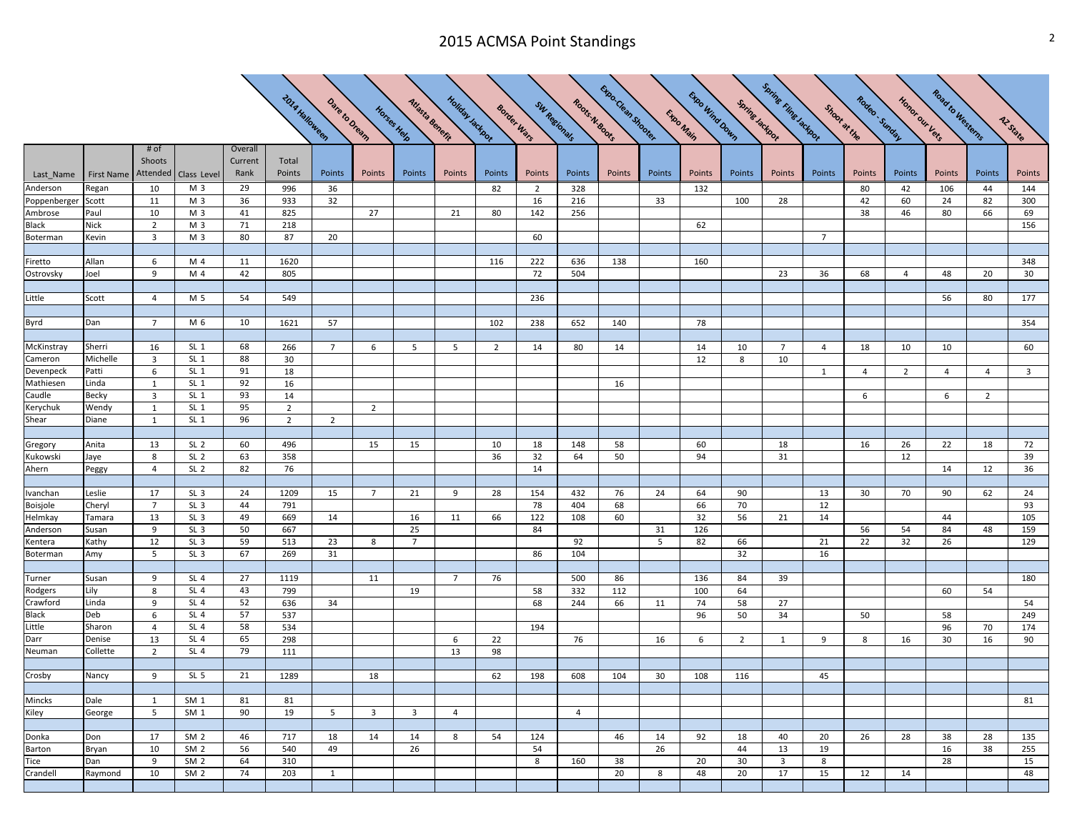## 2015 ACMSA Point Standings 2015 ACMSA Point 3

|                     |               |                |                                    |          | <b>2014 Halloween</b> | Dare to Dream  |                | Atlasta Benefit | Holiday Jackport |                | Sw Regionals   | Roots N.800Ks  | Exportesy Shower |        | Expo Wind Down | Spring Jackport | <b>Spring Finger actoon</b> |                | Rodeo . Simday | Honor our Vers | Road to Westerns |                |                         |
|---------------------|---------------|----------------|------------------------------------|----------|-----------------------|----------------|----------------|-----------------|------------------|----------------|----------------|----------------|------------------|--------|----------------|-----------------|-----------------------------|----------------|----------------|----------------|------------------|----------------|-------------------------|
|                     |               |                |                                    |          |                       |                |                |                 |                  |                |                |                |                  |        |                |                 |                             |                |                |                |                  |                |                         |
|                     |               |                |                                    |          |                       |                |                |                 |                  |                |                |                |                  |        | Expo Main      |                 |                             |                |                |                |                  |                |                         |
|                     |               |                |                                    |          |                       |                |                | Horses Help     |                  |                | Border Wars    |                |                  |        |                |                 |                             | Shoot at the   |                |                |                  |                | Az State                |
|                     |               | # of           |                                    | Overall  |                       |                |                |                 |                  |                |                |                |                  |        |                |                 |                             |                |                |                |                  |                |                         |
|                     |               | Shoots         |                                    | Current  | Total                 |                |                |                 |                  |                |                |                |                  |        |                |                 |                             |                |                |                |                  |                |                         |
| Last_Name           | First Name    | Attended       | Class Level                        | Rank     | Points                | Points         | Points         | Points          | Points           | Points         | Points         | Points         | Points           | Points | Points         | Points          | Points                      | Points         | Points         | Points         | Points           | Points         | Points                  |
| Anderson            | Regan         | 10             | M 3                                | 29       | 996                   | 36             |                |                 |                  | 82             | $\overline{2}$ | 328            |                  |        | 132            |                 |                             |                | 80             | 42             | 106              | 44             | 144                     |
| Poppenberger        | Scott         | 11             | M 3                                | 36       | 933                   | 32             |                |                 |                  |                | 16             | 216            |                  | 33     |                | 100             | 28                          |                | 42             | 60             | 24               | 82             | 300                     |
| Ambrose             | aul?          | 10             | M 3                                | 41       | 825                   |                | 27             |                 | 21               | 80             | 142            | 256            |                  |        |                |                 |                             |                | 38             | 46             | 80               | 66             | 69                      |
| Black               | Nick          | $\overline{2}$ | M 3                                | 71       | 218                   |                |                |                 |                  |                |                |                |                  |        | 62             |                 |                             |                |                |                |                  |                | 156                     |
| Boterman            | Kevin         | 3              | M <sub>3</sub>                     | 80       | 87                    | 20             |                |                 |                  |                | 60             |                |                  |        |                |                 |                             | $\overline{7}$ |                |                |                  |                |                         |
|                     |               |                | M 4                                |          |                       |                |                |                 |                  |                |                |                |                  |        |                |                 |                             |                |                |                |                  |                |                         |
| Firetto             | Allan         | 6<br>9         | M 4                                | 11<br>42 | 1620                  |                |                |                 |                  | 116            | 222            | 636            | 138              |        | 160            |                 |                             |                |                |                |                  |                | 348                     |
| Ostrovsky           | Joel          |                |                                    |          | 805                   |                |                |                 |                  |                | 72             | 504            |                  |        |                |                 | 23                          | 36             | 68             | $\overline{4}$ | 48               | 20             | 30                      |
| Little              | Scott         | 4              | M 5                                | 54       | 549                   |                |                |                 |                  |                | 236            |                |                  |        |                |                 |                             |                |                |                | 56               | 80             | 177                     |
|                     |               |                |                                    |          |                       |                |                |                 |                  |                |                |                |                  |        |                |                 |                             |                |                |                |                  |                |                         |
| Byrd                | Dan           | $\overline{7}$ | M 6                                | 10       | 1621                  | 57             |                |                 |                  | 102            | 238            | 652            | 140              |        | 78             |                 |                             |                |                |                |                  |                | 354                     |
|                     |               |                |                                    |          |                       |                |                |                 |                  |                |                |                |                  |        |                |                 |                             |                |                |                |                  |                |                         |
| McKinstray          | Sherri        | 16             | $SL_1$                             | 68       | 266                   | $\overline{7}$ | 6              | 5               | 5                | $\overline{2}$ | 14             | 80             | 14               |        | 14             | 10              | $\overline{7}$              | $\overline{4}$ | 18             | 10             | 10               |                | 60                      |
| Cameron             | Michelle      | 3              | $SL_1$                             | 88       | 30                    |                |                |                 |                  |                |                |                |                  |        | 12             | 8               | 10                          |                |                |                |                  |                |                         |
| Devenpeck           | Patti         | 6              | $SL_1$                             | 91       | 18                    |                |                |                 |                  |                |                |                |                  |        |                |                 |                             | $\mathbf{1}$   | 4              | $\overline{2}$ | 4                | $\overline{4}$ | $\overline{\mathbf{3}}$ |
| Mathiesen           | Linda         | $\mathbf{1}$   | $SL_1$                             | 92       | 16                    |                |                |                 |                  |                |                |                | 16               |        |                |                 |                             |                |                |                |                  |                |                         |
| Caudle              | Becky         | 3              | SL <sub>1</sub>                    | 93       | 14                    |                |                |                 |                  |                |                |                |                  |        |                |                 |                             |                | 6              |                | 6                | $\overline{2}$ |                         |
| Kerychuk            | Wendy         | $\mathbf{1}$   | $SL_1$                             | 95       | $\overline{2}$        |                | $\overline{2}$ |                 |                  |                |                |                |                  |        |                |                 |                             |                |                |                |                  |                |                         |
| Shear               | Diane         | 1              | $SL_1$                             | 96       | $\overline{2}$        | $\overline{2}$ |                |                 |                  |                |                |                |                  |        |                |                 |                             |                |                |                |                  |                |                         |
|                     |               |                |                                    |          |                       |                |                |                 |                  |                |                |                |                  |        |                |                 |                             |                |                |                |                  |                |                         |
| Gregory             | Anita         | 13             | SL <sub>2</sub>                    | 60       | 496                   |                | 15             | 15              |                  | 10             | 18             | 148            | 58               |        | 60             |                 | 18                          |                | 16             | 26             | 22               | 18             | 72                      |
| Kukowski            | laye          | 8              | SL <sub>2</sub>                    | 63       | 358                   |                |                |                 |                  | 36             | 32             | 64             | 50               |        | 94             |                 | 31                          |                |                | 12             |                  |                | 39                      |
| Ahern               | Peggy         | $\overline{4}$ | SL <sub>2</sub>                    | 82       | 76                    |                |                |                 |                  |                | 14             |                |                  |        |                |                 |                             |                |                |                | 14               | 12             | 36                      |
|                     |               |                |                                    |          |                       |                |                |                 |                  |                |                |                |                  |        |                |                 |                             |                |                |                |                  |                |                         |
| Ivanchan            | Leslie        | 17             | SL <sub>3</sub>                    | 24       | 1209                  | 15             | $\overline{7}$ | 21              | 9                | 28             | 154            | 432            | 76               | 24     | 64             | 90              |                             | 13             | 30             | 70             | 90               | 62             | 24                      |
| Boisjole            | Cheryl        | $\overline{7}$ | SL <sub>3</sub>                    | 44       | 791                   |                |                |                 |                  |                | 78             | 404            | 68               |        | 66             | 70              |                             | 12             |                |                |                  |                | 93                      |
| Helmkay             | Tamara        | 13             | SL <sub>3</sub>                    | 49       | 669                   | 14             |                | 16              | 11               | 66             | 122            | 108            | 60               |        | 32             | 56              | 21                          | 14             |                |                | 44               |                | 105                     |
| Anderson            | Susan         | 9              | SL <sub>3</sub>                    | 50       | 667                   |                |                | 25              |                  |                | 84             |                |                  | 31     | 126            |                 |                             |                | 56             | 54             | 84               | 48             | 159                     |
| Kentera             | Kathy         | 12             | SL <sub>3</sub>                    | 59       | 513                   | 23             | 8              | $\overline{7}$  |                  |                |                | 92             |                  | 5      | 82             | 66              |                             | 21             | 22             | 32             | 26               |                | 129                     |
| Boterman            | Amy           | 5              | SL <sub>3</sub>                    | 67       | 269                   | 31             |                |                 |                  |                | 86             | 104            |                  |        |                | 32              |                             | 16             |                |                |                  |                |                         |
|                     |               |                |                                    |          |                       |                |                |                 |                  |                |                |                |                  |        |                |                 |                             |                |                |                |                  |                |                         |
| Turner              | Susan         | 9<br>8         | SL <sub>4</sub><br>SL <sub>4</sub> | 27<br>43 | 1119<br>799           |                | 11             | 19              | $\overline{7}$   | 76             | 58             | 500<br>332     | 86<br>112        |        | 136            | 84<br>64        | 39                          |                |                |                | 60               |                | 180                     |
| Rodgers<br>Crawford | Lily<br>Linda | 9              | SL <sub>4</sub>                    | 52       | 636                   | 34             |                |                 |                  |                | 68             | 244            | 66               | 11     | 100<br>74      | 58              | 27                          |                |                |                |                  | 54             | 54                      |
| Black               | Deb           | 6              | SL <sub>4</sub>                    | 57       | 537                   |                |                |                 |                  |                |                |                |                  |        | 96             | 50              | 34                          |                | 50             |                | 58               |                | 249                     |
| .ittle              | Sharon        | $\overline{4}$ | SL <sub>4</sub>                    | 58       | 534                   |                |                |                 |                  |                | 194            |                |                  |        |                |                 |                             |                |                |                | 96               | 70             | 174                     |
| Darr                | Denise        | 13             | SL <sub>4</sub>                    | 65       | 298                   |                |                |                 | 6                | 22             |                | 76             |                  | 16     | 6              | $\overline{2}$  | 1                           | 9              | 8              | 16             | 30               | 16             | 90                      |
| Neuman              | Collette      | $\overline{2}$ | SL <sub>4</sub>                    | 79       | 111                   |                |                |                 | 13               | 98             |                |                |                  |        |                |                 |                             |                |                |                |                  |                |                         |
|                     |               |                |                                    |          |                       |                |                |                 |                  |                |                |                |                  |        |                |                 |                             |                |                |                |                  |                |                         |
| Crosby              | Nancy         | 9              | SL <sub>5</sub>                    | 21       | 1289                  |                | 18             |                 |                  | 62             | 198            | 608            | 104              | 30     | 108            | 116             |                             | 45             |                |                |                  |                |                         |
|                     |               |                |                                    |          |                       |                |                |                 |                  |                |                |                |                  |        |                |                 |                             |                |                |                |                  |                |                         |
| Mincks              | Dale          | <sup>1</sup>   | SM <sub>1</sub>                    | 81       | 81                    |                |                |                 |                  |                |                |                |                  |        |                |                 |                             |                |                |                |                  |                | 81                      |
| Kiley               | George        | 5              | SM <sub>1</sub>                    | 90       | 19                    | 5              | 3              | $\overline{3}$  | $\overline{4}$   |                |                | $\overline{4}$ |                  |        |                |                 |                             |                |                |                |                  |                |                         |
|                     |               |                |                                    |          |                       |                |                |                 |                  |                |                |                |                  |        |                |                 |                             |                |                |                |                  |                |                         |
| Donka               | Don           | 17             | SM <sub>2</sub>                    | 46       | 717                   | 18             | 14             | 14              | 8                | 54             | 124            |                | 46               | 14     | 92             | 18              | 40                          | 20             | 26             | 28             | 38               | 28             | 135                     |
| Barton              | Bryan         | 10             | SM <sub>2</sub>                    | 56       | 540                   | 49             |                | 26              |                  |                | 54             |                |                  | 26     |                | 44              | 13                          | 19             |                |                | 16               | 38             | 255                     |
| Tice                | Dan           | 9              | SM <sub>2</sub>                    | 64       | 310                   |                |                |                 |                  |                | 8              | 160            | 38               |        | 20             | 30              | 3                           | 8              |                |                | 28               |                | 15                      |
| Crandell            | Raymond       | 10             | SM <sub>2</sub>                    | 74       | 203                   | $\mathbf{1}$   |                |                 |                  |                |                |                | 20               | 8      | 48             | 20              | 17                          | 15             | 12             | 14             |                  |                | 48                      |
|                     |               |                |                                    |          |                       |                |                |                 |                  |                |                |                |                  |        |                |                 |                             |                |                |                |                  |                |                         |